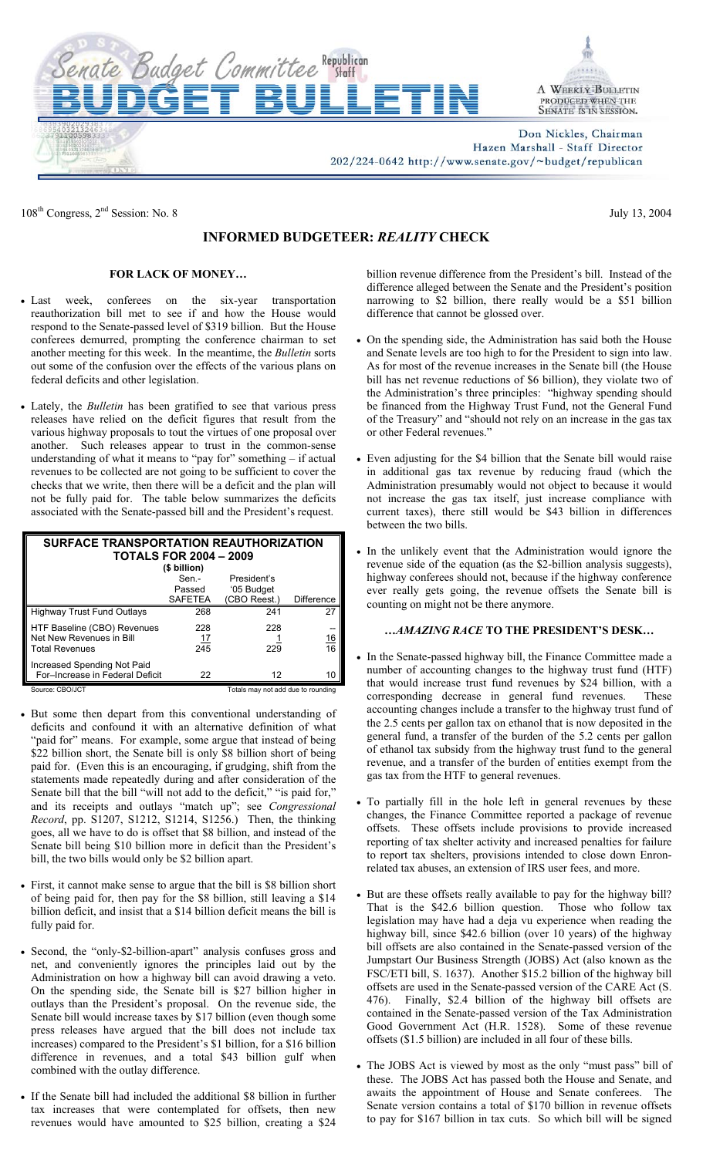

Don Nickles, Chairman Hazen Marshall - Staff Director

202/224-0642 http://www.senate.gov/~budget/republican

108<sup>th</sup> Congress,  $2<sup>nd</sup>$  Session: No. 8 July 13, 2004

## **INFORMED BUDGETEER:** *REALITY* **CHECK**

### **FOR LACK OF MONEY…**

ate Budget Committee Republican

- Last week, conferees on the six-year transportation reauthorization bill met to see if and how the House would respond to the Senate-passed level of \$319 billion. But the House conferees demurred, prompting the conference chairman to set another meeting for this week. In the meantime, the *Bulletin* sorts out some of the confusion over the effects of the various plans on federal deficits and other legislation.
- Lately, the *Bulletin* has been gratified to see that various press releases have relied on the deficit figures that result from the various highway proposals to tout the virtues of one proposal over another. Such releases appear to trust in the common-sense understanding of what it means to "pay for" something – if actual revenues to be collected are not going to be sufficient to cover the checks that we write, then there will be a deficit and the plan will not be fully paid for. The table below summarizes the deficits associated with the Senate-passed bill and the President's request.

| <b>SURFACE TRANSPORTATION REAUTHORIZATION</b> |                |                                    |                   |  |  |
|-----------------------------------------------|----------------|------------------------------------|-------------------|--|--|
| <b>TOTALS FOR 2004 - 2009</b>                 |                |                                    |                   |  |  |
| (\$ billion)                                  |                |                                    |                   |  |  |
|                                               | Sen -          | President's                        |                   |  |  |
|                                               | Passed         | '05 Budget                         |                   |  |  |
|                                               | <b>SAFETEA</b> | (CBO Reest.)                       | <b>Difference</b> |  |  |
| <b>Highway Trust Fund Outlays</b>             | 268            | 241                                | 27                |  |  |
| HTF Baseline (CBO) Revenues                   | 228            | 228                                | --                |  |  |
| Net New Revenues in Bill                      | 17             |                                    | $\frac{16}{16}$   |  |  |
| <b>Total Revenues</b>                         | 245            | 229                                |                   |  |  |
| Increased Spending Not Paid                   |                |                                    |                   |  |  |
| For-Increase in Federal Deficit               | 22             | 12                                 | 10                |  |  |
| Source: CBO/JCT                               |                | Totals may not add due to rounding |                   |  |  |

- But some then depart from this conventional understanding of deficits and confound it with an alternative definition of what "paid for" means. For example, some argue that instead of being \$22 billion short, the Senate bill is only \$8 billion short of being paid for. (Even this is an encouraging, if grudging, shift from the statements made repeatedly during and after consideration of the Senate bill that the bill "will not add to the deficit," "is paid for," and its receipts and outlays "match up"; see *Congressional Record*, pp. S1207, S1212, S1214, S1256.) Then, the thinking goes, all we have to do is offset that \$8 billion, and instead of the Senate bill being \$10 billion more in deficit than the President's bill, the two bills would only be \$2 billion apart.
- First, it cannot make sense to argue that the bill is \$8 billion short of being paid for, then pay for the \$8 billion, still leaving a \$14 billion deficit, and insist that a \$14 billion deficit means the bill is fully paid for.
- Second, the "only-\$2-billion-apart" analysis confuses gross and net, and conveniently ignores the principles laid out by the Administration on how a highway bill can avoid drawing a veto. On the spending side, the Senate bill is \$27 billion higher in outlays than the President's proposal. On the revenue side, the Senate bill would increase taxes by \$17 billion (even though some press releases have argued that the bill does not include tax increases) compared to the President's \$1 billion, for a \$16 billion difference in revenues, and a total \$43 billion gulf when combined with the outlay difference.
- If the Senate bill had included the additional \$8 billion in further tax increases that were contemplated for offsets, then new revenues would have amounted to \$25 billion, creating a \$24

billion revenue difference from the President's bill. Instead of the difference alleged between the Senate and the President's position narrowing to \$2 billion, there really would be a \$51 billion difference that cannot be glossed over.

- On the spending side, the Administration has said both the House and Senate levels are too high to for the President to sign into law. As for most of the revenue increases in the Senate bill (the House bill has net revenue reductions of \$6 billion), they violate two of the Administration's three principles: "highway spending should be financed from the Highway Trust Fund, not the General Fund of the Treasury" and "should not rely on an increase in the gas tax or other Federal revenues."
- Even adjusting for the \$4 billion that the Senate bill would raise in additional gas tax revenue by reducing fraud (which the Administration presumably would not object to because it would not increase the gas tax itself, just increase compliance with current taxes), there still would be \$43 billion in differences between the two bills.
- In the unlikely event that the Administration would ignore the revenue side of the equation (as the \$2-billion analysis suggests), highway conferees should not, because if the highway conference ever really gets going, the revenue offsets the Senate bill is counting on might not be there anymore.

#### *…AMAZING RACE* **TO THE PRESIDENT'S DESK…**

- In the Senate-passed highway bill, the Finance Committee made a number of accounting changes to the highway trust fund (HTF) that would increase trust fund revenues by \$24 billion, with a corresponding decrease in general fund revenues. These accounting changes include a transfer to the highway trust fund of the 2.5 cents per gallon tax on ethanol that is now deposited in the general fund, a transfer of the burden of the 5.2 cents per gallon of ethanol tax subsidy from the highway trust fund to the general revenue, and a transfer of the burden of entities exempt from the gas tax from the HTF to general revenues.
- To partially fill in the hole left in general revenues by these changes, the Finance Committee reported a package of revenue offsets. These offsets include provisions to provide increased reporting of tax shelter activity and increased penalties for failure to report tax shelters, provisions intended to close down Enronrelated tax abuses, an extension of IRS user fees, and more.
- But are these offsets really available to pay for the highway bill? That is the \$42.6 billion question. Those who follow tax legislation may have had a deja vu experience when reading the highway bill, since \$42.6 billion (over 10 years) of the highway bill offsets are also contained in the Senate-passed version of the Jumpstart Our Business Strength (JOBS) Act (also known as the FSC/ETI bill, S. 1637). Another \$15.2 billion of the highway bill offsets are used in the Senate-passed version of the CARE Act (S. 476). Finally, \$2.4 billion of the highway bill offsets are contained in the Senate-passed version of the Tax Administration Good Government Act (H.R. 1528). Some of these revenue offsets (\$1.5 billion) are included in all four of these bills.
- The JOBS Act is viewed by most as the only "must pass" bill of these. The JOBS Act has passed both the House and Senate, and awaits the appointment of House and Senate conferees. The Senate version contains a total of \$170 billion in revenue offsets to pay for \$167 billion in tax cuts. So which bill will be signed